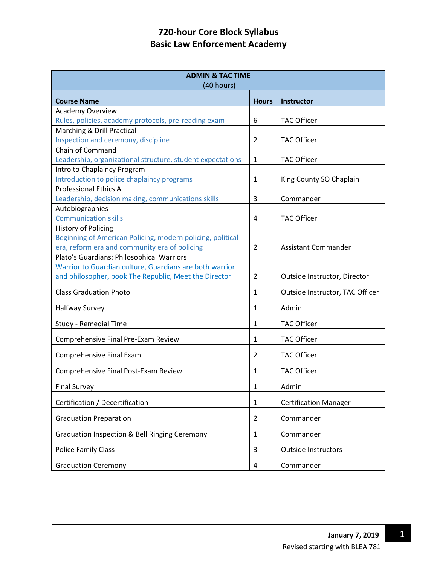| <b>ADMIN &amp; TAC TIME</b><br>(40 hours)                  |                |                                 |  |
|------------------------------------------------------------|----------------|---------------------------------|--|
| <b>Course Name</b>                                         | <b>Hours</b>   | <b>Instructor</b>               |  |
| <b>Academy Overview</b>                                    |                |                                 |  |
| Rules, policies, academy protocols, pre-reading exam       | 6              | <b>TAC Officer</b>              |  |
| Marching & Drill Practical                                 |                |                                 |  |
| Inspection and ceremony, discipline                        | $\overline{2}$ | <b>TAC Officer</b>              |  |
| Chain of Command                                           |                |                                 |  |
| Leadership, organizational structure, student expectations | 1              | <b>TAC Officer</b>              |  |
| Intro to Chaplaincy Program                                |                |                                 |  |
| Introduction to police chaplaincy programs                 | 1              | King County SO Chaplain         |  |
| <b>Professional Ethics A</b>                               |                |                                 |  |
| Leadership, decision making, communications skills         | 3              | Commander                       |  |
| Autobiographies                                            |                |                                 |  |
| <b>Communication skills</b>                                | 4              | <b>TAC Officer</b>              |  |
| <b>History of Policing</b>                                 |                |                                 |  |
| Beginning of American Policing, modern policing, political |                |                                 |  |
| era, reform era and community era of policing              | $\overline{2}$ | Assistant Commander             |  |
| Plato's Guardians: Philosophical Warriors                  |                |                                 |  |
| Warrior to Guardian culture, Guardians are both warrior    |                |                                 |  |
| and philosopher, book The Republic, Meet the Director      | $\overline{2}$ | Outside Instructor, Director    |  |
| <b>Class Graduation Photo</b>                              | 1              | Outside Instructor, TAC Officer |  |
| <b>Halfway Survey</b>                                      | 1              | Admin                           |  |
| Study - Remedial Time                                      | $\mathbf{1}$   | <b>TAC Officer</b>              |  |
| Comprehensive Final Pre-Exam Review                        | 1              | <b>TAC Officer</b>              |  |
| Comprehensive Final Exam                                   | 2              | <b>TAC Officer</b>              |  |
| Comprehensive Final Post-Exam Review                       | 1              | <b>TAC Officer</b>              |  |
|                                                            |                |                                 |  |
| <b>Final Survey</b>                                        | 1              | Admin                           |  |
| Certification / Decertification                            | 1              | <b>Certification Manager</b>    |  |
| <b>Graduation Preparation</b>                              | $\overline{2}$ | Commander                       |  |
| Graduation Inspection & Bell Ringing Ceremony              | $\mathbf{1}$   | Commander                       |  |
| <b>Police Family Class</b>                                 | 3              | <b>Outside Instructors</b>      |  |
| <b>Graduation Ceremony</b>                                 | $\overline{4}$ | Commander                       |  |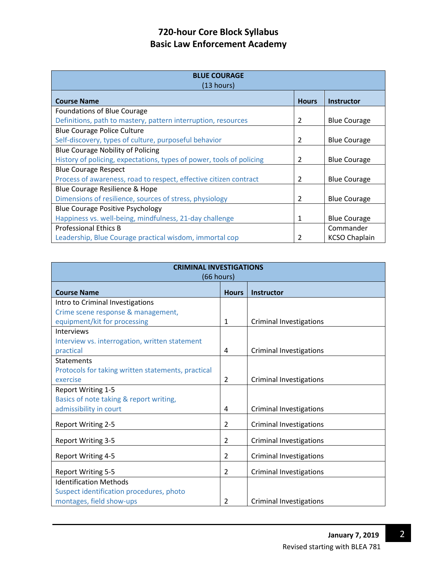| <b>BLUE COURAGE</b><br>(13 hours)                                    |               |                      |  |
|----------------------------------------------------------------------|---------------|----------------------|--|
| <b>Course Name</b>                                                   | <b>Hours</b>  | <b>Instructor</b>    |  |
| Foundations of Blue Courage                                          |               |                      |  |
| Definitions, path to mastery, pattern interruption, resources        | 2             | <b>Blue Courage</b>  |  |
| <b>Blue Courage Police Culture</b>                                   |               |                      |  |
| Self-discovery, types of culture, purposeful behavior                | 2             | <b>Blue Courage</b>  |  |
| <b>Blue Courage Nobility of Policing</b>                             |               |                      |  |
| History of policing, expectations, types of power, tools of policing | $\mathcal{P}$ | <b>Blue Courage</b>  |  |
| <b>Blue Courage Respect</b>                                          |               |                      |  |
| Process of awareness, road to respect, effective citizen contract    | 2             | <b>Blue Courage</b>  |  |
| Blue Courage Resilience & Hope                                       |               |                      |  |
| Dimensions of resilience, sources of stress, physiology              | 2             | <b>Blue Courage</b>  |  |
| <b>Blue Courage Positive Psychology</b>                              |               |                      |  |
| Happiness vs. well-being, mindfulness, 21-day challenge              | 1             | <b>Blue Courage</b>  |  |
| <b>Professional Ethics B</b>                                         |               | Commander            |  |
| Leadership, Blue Courage practical wisdom, immortal cop              |               | <b>KCSO Chaplain</b> |  |

| <b>CRIMINAL INVESTIGATIONS</b><br>(66 hours)       |                |                                |  |
|----------------------------------------------------|----------------|--------------------------------|--|
|                                                    |                |                                |  |
| <b>Course Name</b>                                 | <b>Hours</b>   | <b>Instructor</b>              |  |
| Intro to Criminal Investigations                   |                |                                |  |
| Crime scene response & management,                 |                |                                |  |
| equipment/kit for processing                       | 1              | <b>Criminal Investigations</b> |  |
| <b>Interviews</b>                                  |                |                                |  |
| Interview vs. interrogation, written statement     |                |                                |  |
| practical                                          | 4              | <b>Criminal Investigations</b> |  |
| <b>Statements</b>                                  |                |                                |  |
| Protocols for taking written statements, practical |                |                                |  |
| exercise                                           | $\overline{2}$ | <b>Criminal Investigations</b> |  |
| Report Writing 1-5                                 |                |                                |  |
| Basics of note taking & report writing,            |                |                                |  |
| admissibility in court                             | 4              | <b>Criminal Investigations</b> |  |
| <b>Report Writing 2-5</b>                          | $\overline{2}$ | <b>Criminal Investigations</b> |  |
| <b>Report Writing 3-5</b>                          | $\overline{2}$ | <b>Criminal Investigations</b> |  |
| <b>Report Writing 4-5</b>                          | 2              | <b>Criminal Investigations</b> |  |
| <b>Report Writing 5-5</b>                          | 2              | <b>Criminal Investigations</b> |  |
| <b>Identification Methods</b>                      |                |                                |  |
| Suspect identification procedures, photo           |                |                                |  |
| montages, field show-ups                           | 2              | <b>Criminal Investigations</b> |  |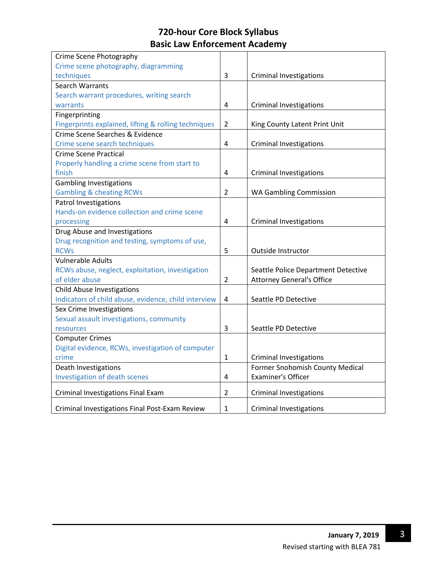| Crime scene photography, diagramming<br>techniques<br>3<br><b>Criminal Investigations</b><br><b>Search Warrants</b><br>Search warrant procedures, writing search<br><b>Criminal Investigations</b><br>warrants<br>4<br>Fingerprinting<br>Fingerprints explained, lifting & rolling techniques<br>$\overline{2}$<br>King County Latent Print Unit<br>Crime Scene Searches & Evidence<br>Crime scene search techniques<br>4<br><b>Criminal Investigations</b><br><b>Crime Scene Practical</b><br>Properly handling a crime scene from start to<br>finish<br><b>Criminal Investigations</b><br>4<br><b>Gambling Investigations</b><br><b>Gambling &amp; cheating RCWs</b><br>2<br><b>WA Gambling Commission</b><br>Patrol Investigations<br>Hands-on evidence collection and crime scene<br>processing<br><b>Criminal Investigations</b><br>4<br>Drug Abuse and Investigations<br>Drug recognition and testing, symptoms of use,<br><b>RCWs</b><br>5<br>Outside Instructor<br><b>Vulnerable Adults</b><br>RCWs abuse, neglect, exploitation, investigation<br>Seattle Police Department Detective<br><b>Attorney General's Office</b><br>of elder abuse<br>2<br><b>Child Abuse Investigations</b><br>Indicators of child abuse, evidence, child interview<br>Seattle PD Detective<br>4<br>Sex Crime Investigations<br>Sexual assault investigations, community<br>3<br>Seattle PD Detective<br>resources<br><b>Computer Crimes</b><br>Digital evidence, RCWs, investigation of computer<br>crime<br>1<br><b>Criminal Investigations</b><br>Death Investigations<br>Former Snohomish County Medical<br><b>Investigation of death scenes</b><br><b>Examiner's Officer</b><br>4<br>$\overline{2}$<br>Criminal Investigations Final Exam<br><b>Criminal Investigations</b><br>Criminal Investigations Final Post-Exam Review<br>$\mathbf{1}$<br><b>Criminal Investigations</b> | Crime Scene Photography |  |
|-------------------------------------------------------------------------------------------------------------------------------------------------------------------------------------------------------------------------------------------------------------------------------------------------------------------------------------------------------------------------------------------------------------------------------------------------------------------------------------------------------------------------------------------------------------------------------------------------------------------------------------------------------------------------------------------------------------------------------------------------------------------------------------------------------------------------------------------------------------------------------------------------------------------------------------------------------------------------------------------------------------------------------------------------------------------------------------------------------------------------------------------------------------------------------------------------------------------------------------------------------------------------------------------------------------------------------------------------------------------------------------------------------------------------------------------------------------------------------------------------------------------------------------------------------------------------------------------------------------------------------------------------------------------------------------------------------------------------------------------------------------------------------------------------------------------------------------------------------------------------|-------------------------|--|
|                                                                                                                                                                                                                                                                                                                                                                                                                                                                                                                                                                                                                                                                                                                                                                                                                                                                                                                                                                                                                                                                                                                                                                                                                                                                                                                                                                                                                                                                                                                                                                                                                                                                                                                                                                                                                                                                         |                         |  |
|                                                                                                                                                                                                                                                                                                                                                                                                                                                                                                                                                                                                                                                                                                                                                                                                                                                                                                                                                                                                                                                                                                                                                                                                                                                                                                                                                                                                                                                                                                                                                                                                                                                                                                                                                                                                                                                                         |                         |  |
|                                                                                                                                                                                                                                                                                                                                                                                                                                                                                                                                                                                                                                                                                                                                                                                                                                                                                                                                                                                                                                                                                                                                                                                                                                                                                                                                                                                                                                                                                                                                                                                                                                                                                                                                                                                                                                                                         |                         |  |
|                                                                                                                                                                                                                                                                                                                                                                                                                                                                                                                                                                                                                                                                                                                                                                                                                                                                                                                                                                                                                                                                                                                                                                                                                                                                                                                                                                                                                                                                                                                                                                                                                                                                                                                                                                                                                                                                         |                         |  |
|                                                                                                                                                                                                                                                                                                                                                                                                                                                                                                                                                                                                                                                                                                                                                                                                                                                                                                                                                                                                                                                                                                                                                                                                                                                                                                                                                                                                                                                                                                                                                                                                                                                                                                                                                                                                                                                                         |                         |  |
|                                                                                                                                                                                                                                                                                                                                                                                                                                                                                                                                                                                                                                                                                                                                                                                                                                                                                                                                                                                                                                                                                                                                                                                                                                                                                                                                                                                                                                                                                                                                                                                                                                                                                                                                                                                                                                                                         |                         |  |
|                                                                                                                                                                                                                                                                                                                                                                                                                                                                                                                                                                                                                                                                                                                                                                                                                                                                                                                                                                                                                                                                                                                                                                                                                                                                                                                                                                                                                                                                                                                                                                                                                                                                                                                                                                                                                                                                         |                         |  |
|                                                                                                                                                                                                                                                                                                                                                                                                                                                                                                                                                                                                                                                                                                                                                                                                                                                                                                                                                                                                                                                                                                                                                                                                                                                                                                                                                                                                                                                                                                                                                                                                                                                                                                                                                                                                                                                                         |                         |  |
|                                                                                                                                                                                                                                                                                                                                                                                                                                                                                                                                                                                                                                                                                                                                                                                                                                                                                                                                                                                                                                                                                                                                                                                                                                                                                                                                                                                                                                                                                                                                                                                                                                                                                                                                                                                                                                                                         |                         |  |
|                                                                                                                                                                                                                                                                                                                                                                                                                                                                                                                                                                                                                                                                                                                                                                                                                                                                                                                                                                                                                                                                                                                                                                                                                                                                                                                                                                                                                                                                                                                                                                                                                                                                                                                                                                                                                                                                         |                         |  |
|                                                                                                                                                                                                                                                                                                                                                                                                                                                                                                                                                                                                                                                                                                                                                                                                                                                                                                                                                                                                                                                                                                                                                                                                                                                                                                                                                                                                                                                                                                                                                                                                                                                                                                                                                                                                                                                                         |                         |  |
|                                                                                                                                                                                                                                                                                                                                                                                                                                                                                                                                                                                                                                                                                                                                                                                                                                                                                                                                                                                                                                                                                                                                                                                                                                                                                                                                                                                                                                                                                                                                                                                                                                                                                                                                                                                                                                                                         |                         |  |
|                                                                                                                                                                                                                                                                                                                                                                                                                                                                                                                                                                                                                                                                                                                                                                                                                                                                                                                                                                                                                                                                                                                                                                                                                                                                                                                                                                                                                                                                                                                                                                                                                                                                                                                                                                                                                                                                         |                         |  |
|                                                                                                                                                                                                                                                                                                                                                                                                                                                                                                                                                                                                                                                                                                                                                                                                                                                                                                                                                                                                                                                                                                                                                                                                                                                                                                                                                                                                                                                                                                                                                                                                                                                                                                                                                                                                                                                                         |                         |  |
|                                                                                                                                                                                                                                                                                                                                                                                                                                                                                                                                                                                                                                                                                                                                                                                                                                                                                                                                                                                                                                                                                                                                                                                                                                                                                                                                                                                                                                                                                                                                                                                                                                                                                                                                                                                                                                                                         |                         |  |
|                                                                                                                                                                                                                                                                                                                                                                                                                                                                                                                                                                                                                                                                                                                                                                                                                                                                                                                                                                                                                                                                                                                                                                                                                                                                                                                                                                                                                                                                                                                                                                                                                                                                                                                                                                                                                                                                         |                         |  |
|                                                                                                                                                                                                                                                                                                                                                                                                                                                                                                                                                                                                                                                                                                                                                                                                                                                                                                                                                                                                                                                                                                                                                                                                                                                                                                                                                                                                                                                                                                                                                                                                                                                                                                                                                                                                                                                                         |                         |  |
|                                                                                                                                                                                                                                                                                                                                                                                                                                                                                                                                                                                                                                                                                                                                                                                                                                                                                                                                                                                                                                                                                                                                                                                                                                                                                                                                                                                                                                                                                                                                                                                                                                                                                                                                                                                                                                                                         |                         |  |
|                                                                                                                                                                                                                                                                                                                                                                                                                                                                                                                                                                                                                                                                                                                                                                                                                                                                                                                                                                                                                                                                                                                                                                                                                                                                                                                                                                                                                                                                                                                                                                                                                                                                                                                                                                                                                                                                         |                         |  |
|                                                                                                                                                                                                                                                                                                                                                                                                                                                                                                                                                                                                                                                                                                                                                                                                                                                                                                                                                                                                                                                                                                                                                                                                                                                                                                                                                                                                                                                                                                                                                                                                                                                                                                                                                                                                                                                                         |                         |  |
|                                                                                                                                                                                                                                                                                                                                                                                                                                                                                                                                                                                                                                                                                                                                                                                                                                                                                                                                                                                                                                                                                                                                                                                                                                                                                                                                                                                                                                                                                                                                                                                                                                                                                                                                                                                                                                                                         |                         |  |
|                                                                                                                                                                                                                                                                                                                                                                                                                                                                                                                                                                                                                                                                                                                                                                                                                                                                                                                                                                                                                                                                                                                                                                                                                                                                                                                                                                                                                                                                                                                                                                                                                                                                                                                                                                                                                                                                         |                         |  |
|                                                                                                                                                                                                                                                                                                                                                                                                                                                                                                                                                                                                                                                                                                                                                                                                                                                                                                                                                                                                                                                                                                                                                                                                                                                                                                                                                                                                                                                                                                                                                                                                                                                                                                                                                                                                                                                                         |                         |  |
|                                                                                                                                                                                                                                                                                                                                                                                                                                                                                                                                                                                                                                                                                                                                                                                                                                                                                                                                                                                                                                                                                                                                                                                                                                                                                                                                                                                                                                                                                                                                                                                                                                                                                                                                                                                                                                                                         |                         |  |
|                                                                                                                                                                                                                                                                                                                                                                                                                                                                                                                                                                                                                                                                                                                                                                                                                                                                                                                                                                                                                                                                                                                                                                                                                                                                                                                                                                                                                                                                                                                                                                                                                                                                                                                                                                                                                                                                         |                         |  |
|                                                                                                                                                                                                                                                                                                                                                                                                                                                                                                                                                                                                                                                                                                                                                                                                                                                                                                                                                                                                                                                                                                                                                                                                                                                                                                                                                                                                                                                                                                                                                                                                                                                                                                                                                                                                                                                                         |                         |  |
|                                                                                                                                                                                                                                                                                                                                                                                                                                                                                                                                                                                                                                                                                                                                                                                                                                                                                                                                                                                                                                                                                                                                                                                                                                                                                                                                                                                                                                                                                                                                                                                                                                                                                                                                                                                                                                                                         |                         |  |
|                                                                                                                                                                                                                                                                                                                                                                                                                                                                                                                                                                                                                                                                                                                                                                                                                                                                                                                                                                                                                                                                                                                                                                                                                                                                                                                                                                                                                                                                                                                                                                                                                                                                                                                                                                                                                                                                         |                         |  |
|                                                                                                                                                                                                                                                                                                                                                                                                                                                                                                                                                                                                                                                                                                                                                                                                                                                                                                                                                                                                                                                                                                                                                                                                                                                                                                                                                                                                                                                                                                                                                                                                                                                                                                                                                                                                                                                                         |                         |  |
|                                                                                                                                                                                                                                                                                                                                                                                                                                                                                                                                                                                                                                                                                                                                                                                                                                                                                                                                                                                                                                                                                                                                                                                                                                                                                                                                                                                                                                                                                                                                                                                                                                                                                                                                                                                                                                                                         |                         |  |
|                                                                                                                                                                                                                                                                                                                                                                                                                                                                                                                                                                                                                                                                                                                                                                                                                                                                                                                                                                                                                                                                                                                                                                                                                                                                                                                                                                                                                                                                                                                                                                                                                                                                                                                                                                                                                                                                         |                         |  |
|                                                                                                                                                                                                                                                                                                                                                                                                                                                                                                                                                                                                                                                                                                                                                                                                                                                                                                                                                                                                                                                                                                                                                                                                                                                                                                                                                                                                                                                                                                                                                                                                                                                                                                                                                                                                                                                                         |                         |  |
|                                                                                                                                                                                                                                                                                                                                                                                                                                                                                                                                                                                                                                                                                                                                                                                                                                                                                                                                                                                                                                                                                                                                                                                                                                                                                                                                                                                                                                                                                                                                                                                                                                                                                                                                                                                                                                                                         |                         |  |
|                                                                                                                                                                                                                                                                                                                                                                                                                                                                                                                                                                                                                                                                                                                                                                                                                                                                                                                                                                                                                                                                                                                                                                                                                                                                                                                                                                                                                                                                                                                                                                                                                                                                                                                                                                                                                                                                         |                         |  |
|                                                                                                                                                                                                                                                                                                                                                                                                                                                                                                                                                                                                                                                                                                                                                                                                                                                                                                                                                                                                                                                                                                                                                                                                                                                                                                                                                                                                                                                                                                                                                                                                                                                                                                                                                                                                                                                                         |                         |  |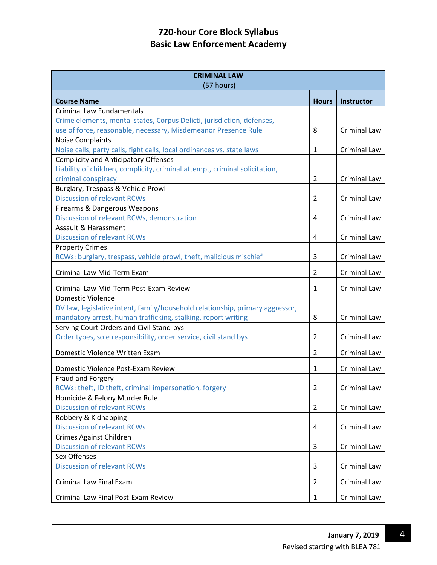| <b>CRIMINAL LAW</b><br>(57 hours)                                             |                |                     |  |
|-------------------------------------------------------------------------------|----------------|---------------------|--|
| <b>Course Name</b>                                                            | <b>Hours</b>   | <b>Instructor</b>   |  |
| <b>Criminal Law Fundamentals</b>                                              |                |                     |  |
| Crime elements, mental states, Corpus Delicti, jurisdiction, defenses,        |                |                     |  |
| use of force, reasonable, necessary, Misdemeanor Presence Rule                | 8              | <b>Criminal Law</b> |  |
| <b>Noise Complaints</b>                                                       |                |                     |  |
| Noise calls, party calls, fight calls, local ordinances vs. state laws        | $\mathbf{1}$   | <b>Criminal Law</b> |  |
| <b>Complicity and Anticipatory Offenses</b>                                   |                |                     |  |
| Liability of children, complicity, criminal attempt, criminal solicitation,   |                |                     |  |
| criminal conspiracy                                                           | 2              | <b>Criminal Law</b> |  |
| Burglary, Trespass & Vehicle Prowl                                            |                |                     |  |
| <b>Discussion of relevant RCWs</b>                                            | $\overline{2}$ | <b>Criminal Law</b> |  |
| Firearms & Dangerous Weapons                                                  |                |                     |  |
| Discussion of relevant RCWs, demonstration                                    | 4              | Criminal Law        |  |
| Assault & Harassment                                                          |                |                     |  |
| <b>Discussion of relevant RCWs</b>                                            | 4              | Criminal Law        |  |
| <b>Property Crimes</b>                                                        |                |                     |  |
| RCWs: burglary, trespass, vehicle prowl, theft, malicious mischief            | 3              | <b>Criminal Law</b> |  |
| Criminal Law Mid-Term Exam                                                    | $\overline{2}$ | <b>Criminal Law</b> |  |
| Criminal Law Mid-Term Post-Exam Review                                        | 1              | Criminal Law        |  |
| <b>Domestic Violence</b>                                                      |                |                     |  |
| DV law, legislative intent, family/household relationship, primary aggressor, |                |                     |  |
| mandatory arrest, human trafficking, stalking, report writing                 | 8              | <b>Criminal Law</b> |  |
| Serving Court Orders and Civil Stand-bys                                      |                |                     |  |
| Order types, sole responsibility, order service, civil stand bys              | 2              | <b>Criminal Law</b> |  |
| Domestic Violence Written Exam                                                | 2              | <b>Criminal Law</b> |  |
| Domestic Violence Post-Exam Review                                            | 1              | <b>Criminal Law</b> |  |
| Fraud and Forgery                                                             |                |                     |  |
| RCWs: theft, ID theft, criminal impersonation, forgery                        | 2              | Criminal Law        |  |
| Homicide & Felony Murder Rule                                                 |                |                     |  |
| <b>Discussion of relevant RCWs</b>                                            | $\overline{2}$ | <b>Criminal Law</b> |  |
| Robbery & Kidnapping                                                          |                |                     |  |
| <b>Discussion of relevant RCWs</b>                                            | 4              | Criminal Law        |  |
| Crimes Against Children                                                       |                |                     |  |
| <b>Discussion of relevant RCWs</b>                                            | 3              | Criminal Law        |  |
| Sex Offenses                                                                  |                |                     |  |
| <b>Discussion of relevant RCWs</b>                                            | 3              | Criminal Law        |  |
| <b>Criminal Law Final Exam</b>                                                | 2              | Criminal Law        |  |
| Criminal Law Final Post-Exam Review                                           | 1              | Criminal Law        |  |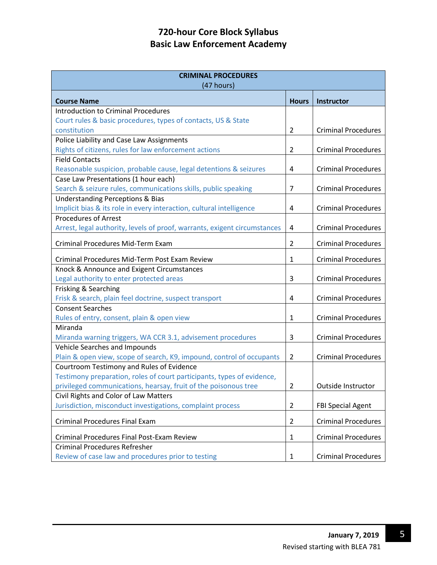| <b>CRIMINAL PROCEDURES</b>                                                |                |                            |  |
|---------------------------------------------------------------------------|----------------|----------------------------|--|
| (47 hours)                                                                |                |                            |  |
| <b>Course Name</b>                                                        | <b>Hours</b>   | <b>Instructor</b>          |  |
| <b>Introduction to Criminal Procedures</b>                                |                |                            |  |
| Court rules & basic procedures, types of contacts, US & State             |                |                            |  |
| constitution                                                              | $\overline{2}$ | <b>Criminal Procedures</b> |  |
| Police Liability and Case Law Assignments                                 |                |                            |  |
| Rights of citizens, rules for law enforcement actions                     | $\overline{2}$ | <b>Criminal Procedures</b> |  |
| <b>Field Contacts</b>                                                     |                |                            |  |
| Reasonable suspicion, probable cause, legal detentions & seizures         | 4              | <b>Criminal Procedures</b> |  |
| Case Law Presentations (1 hour each)                                      |                |                            |  |
| Search & seizure rules, communications skills, public speaking            | 7              | <b>Criminal Procedures</b> |  |
| <b>Understanding Perceptions &amp; Bias</b>                               |                |                            |  |
| Implicit bias & its role in every interaction, cultural intelligence      | 4              | <b>Criminal Procedures</b> |  |
| <b>Procedures of Arrest</b>                                               |                |                            |  |
| Arrest, legal authority, levels of proof, warrants, exigent circumstances | 4              | <b>Criminal Procedures</b> |  |
| Criminal Procedures Mid-Term Exam                                         | $\overline{2}$ | <b>Criminal Procedures</b> |  |
| Criminal Procedures Mid-Term Post Exam Review                             | 1              | <b>Criminal Procedures</b> |  |
| Knock & Announce and Exigent Circumstances                                |                |                            |  |
| Legal authority to enter protected areas                                  | 3              | <b>Criminal Procedures</b> |  |
| Frisking & Searching                                                      |                |                            |  |
| Frisk & search, plain feel doctrine, suspect transport                    | 4              | <b>Criminal Procedures</b> |  |
| <b>Consent Searches</b>                                                   |                |                            |  |
| Rules of entry, consent, plain & open view                                | $\mathbf{1}$   | <b>Criminal Procedures</b> |  |
| Miranda                                                                   |                |                            |  |
| Miranda warning triggers, WA CCR 3.1, advisement procedures               | 3              | <b>Criminal Procedures</b> |  |
| Vehicle Searches and Impounds                                             |                |                            |  |
| Plain & open view, scope of search, K9, impound, control of occupants     | $\overline{2}$ | <b>Criminal Procedures</b> |  |
| Courtroom Testimony and Rules of Evidence                                 |                |                            |  |
| Testimony preparation, roles of court participants, types of evidence,    |                |                            |  |
| privileged communications, hearsay, fruit of the poisonous tree           | $\overline{2}$ | Outside Instructor         |  |
| Civil Rights and Color of Law Matters                                     |                |                            |  |
| Jurisdiction, misconduct investigations, complaint process                | 2              | <b>FBI Special Agent</b>   |  |
| <b>Criminal Procedures Final Exam</b>                                     | 2              | <b>Criminal Procedures</b> |  |
| <b>Criminal Procedures Final Post-Exam Review</b>                         | 1              | <b>Criminal Procedures</b> |  |
| <b>Criminal Procedures Refresher</b>                                      |                |                            |  |
| Review of case law and procedures prior to testing                        | $\mathbf{1}$   | <b>Criminal Procedures</b> |  |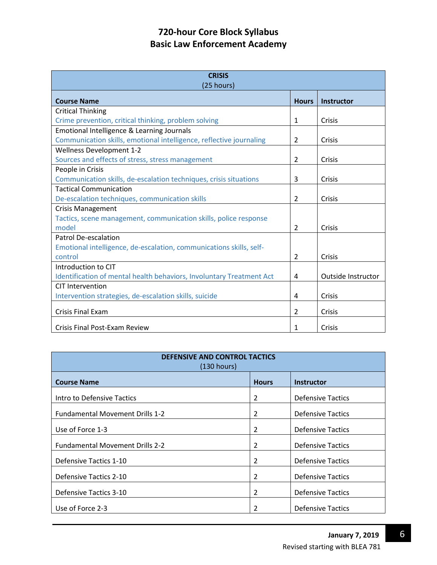| <b>CRISIS</b><br>(25 hours)                                          |                |                    |
|----------------------------------------------------------------------|----------------|--------------------|
| <b>Course Name</b>                                                   | <b>Hours</b>   | <b>Instructor</b>  |
| <b>Critical Thinking</b>                                             |                |                    |
| Crime prevention, critical thinking, problem solving                 | 1              | Crisis             |
| Emotional Intelligence & Learning Journals                           |                |                    |
| Communication skills, emotional intelligence, reflective journaling  | 2              | Crisis             |
| <b>Wellness Development 1-2</b>                                      |                |                    |
| Sources and effects of stress, stress management                     | 2              | Crisis             |
| People in Crisis                                                     |                |                    |
| Communication skills, de-escalation techniques, crisis situations    | 3              | Crisis             |
| <b>Tactical Communication</b>                                        |                |                    |
| De-escalation techniques, communication skills                       | 2              | Crisis             |
| <b>Crisis Management</b>                                             |                |                    |
| Tactics, scene management, communication skills, police response     |                |                    |
| model                                                                | $\overline{2}$ | Crisis             |
| Patrol De-escalation                                                 |                |                    |
| Emotional intelligence, de-escalation, communications skills, self-  |                |                    |
| control                                                              | 2              | Crisis             |
| Introduction to CIT                                                  |                |                    |
| Identification of mental health behaviors, Involuntary Treatment Act | 4              | Outside Instructor |
| CIT Intervention                                                     |                |                    |
| Intervention strategies, de-escalation skills, suicide               | 4              | Crisis             |
| <b>Crisis Final Exam</b>                                             | $\mathcal{P}$  | Crisis             |
| Crisis Final Post-Exam Review                                        | 1              | Crisis             |

| <b>DEFENSIVE AND CONTROL TACTICS</b><br>(130 hours) |                |                          |  |
|-----------------------------------------------------|----------------|--------------------------|--|
| <b>Course Name</b>                                  | <b>Hours</b>   | <b>Instructor</b>        |  |
| Intro to Defensive Tactics                          | 2              | <b>Defensive Tactics</b> |  |
| <b>Fundamental Movement Drills 1-2</b>              | $\overline{2}$ | <b>Defensive Tactics</b> |  |
| Use of Force 1-3                                    | 2              | <b>Defensive Tactics</b> |  |
| <b>Fundamental Movement Drills 2-2</b>              | 2              | <b>Defensive Tactics</b> |  |
| Defensive Tactics 1-10                              | 2              | <b>Defensive Tactics</b> |  |
| Defensive Tactics 2-10                              | 2              | <b>Defensive Tactics</b> |  |
| Defensive Tactics 3-10                              | 2              | <b>Defensive Tactics</b> |  |
| Use of Force 2-3                                    | 2              | <b>Defensive Tactics</b> |  |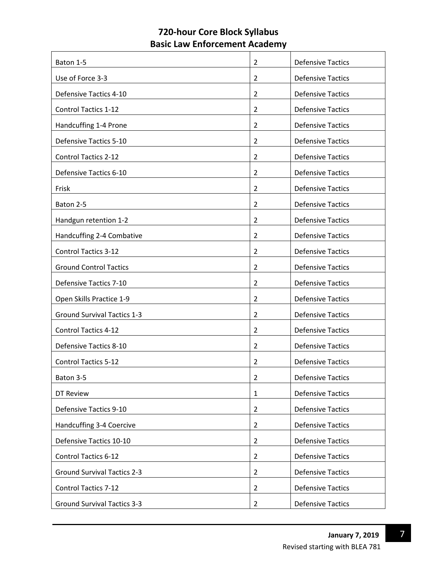| Baton 1-5                          | 2              | <b>Defensive Tactics</b> |
|------------------------------------|----------------|--------------------------|
| Use of Force 3-3                   | $\overline{2}$ | <b>Defensive Tactics</b> |
| Defensive Tactics 4-10             | $\overline{2}$ | <b>Defensive Tactics</b> |
| <b>Control Tactics 1-12</b>        | 2              | <b>Defensive Tactics</b> |
| Handcuffing 1-4 Prone              | $\overline{2}$ | <b>Defensive Tactics</b> |
| Defensive Tactics 5-10             | $\overline{2}$ | <b>Defensive Tactics</b> |
| <b>Control Tactics 2-12</b>        | 2              | <b>Defensive Tactics</b> |
| Defensive Tactics 6-10             | $\overline{2}$ | <b>Defensive Tactics</b> |
| Frisk                              | $\overline{2}$ | <b>Defensive Tactics</b> |
| Baton 2-5                          | 2              | <b>Defensive Tactics</b> |
| Handgun retention 1-2              | $\overline{2}$ | <b>Defensive Tactics</b> |
| Handcuffing 2-4 Combative          | $\overline{2}$ | <b>Defensive Tactics</b> |
| <b>Control Tactics 3-12</b>        | $\overline{2}$ | <b>Defensive Tactics</b> |
| <b>Ground Control Tactics</b>      | 2              | <b>Defensive Tactics</b> |
| <b>Defensive Tactics 7-10</b>      | $\overline{2}$ | <b>Defensive Tactics</b> |
| Open Skills Practice 1-9           | $\overline{2}$ | <b>Defensive Tactics</b> |
| <b>Ground Survival Tactics 1-3</b> | 2              | <b>Defensive Tactics</b> |
| <b>Control Tactics 4-12</b>        | $\overline{2}$ | <b>Defensive Tactics</b> |
| Defensive Tactics 8-10             | $\overline{2}$ | <b>Defensive Tactics</b> |
| <b>Control Tactics 5-12</b>        | 2              | <b>Defensive Tactics</b> |
| Baton 3-5                          | $\overline{2}$ | <b>Defensive Tactics</b> |
| DT Review                          | $\mathbf{1}$   | <b>Defensive Tactics</b> |
| Defensive Tactics 9-10             | $\overline{2}$ | <b>Defensive Tactics</b> |
| Handcuffing 3-4 Coercive           | $\overline{2}$ | <b>Defensive Tactics</b> |
| Defensive Tactics 10-10            | $\overline{2}$ | <b>Defensive Tactics</b> |
| <b>Control Tactics 6-12</b>        | $\overline{2}$ | <b>Defensive Tactics</b> |
| <b>Ground Survival Tactics 2-3</b> | $\overline{2}$ | <b>Defensive Tactics</b> |
| <b>Control Tactics 7-12</b>        | $\overline{2}$ | <b>Defensive Tactics</b> |
| <b>Ground Survival Tactics 3-3</b> | $\overline{2}$ | <b>Defensive Tactics</b> |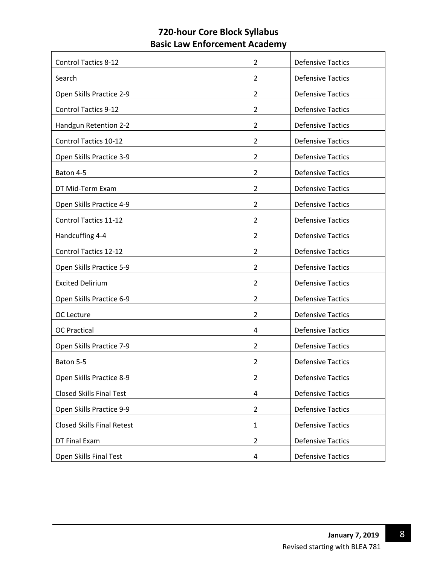| <b>Control Tactics 8-12</b>       | 2              | <b>Defensive Tactics</b> |
|-----------------------------------|----------------|--------------------------|
| Search                            | $\overline{2}$ | <b>Defensive Tactics</b> |
| Open Skills Practice 2-9          | $\overline{2}$ | <b>Defensive Tactics</b> |
| <b>Control Tactics 9-12</b>       | $\overline{2}$ | <b>Defensive Tactics</b> |
| Handgun Retention 2-2             | 2              | <b>Defensive Tactics</b> |
| Control Tactics 10-12             | $\overline{2}$ | <b>Defensive Tactics</b> |
| Open Skills Practice 3-9          | 2              | <b>Defensive Tactics</b> |
| Baton 4-5                         | 2              | <b>Defensive Tactics</b> |
| DT Mid-Term Exam                  | 2              | <b>Defensive Tactics</b> |
| Open Skills Practice 4-9          | 2              | <b>Defensive Tactics</b> |
| <b>Control Tactics 11-12</b>      | 2              | <b>Defensive Tactics</b> |
| Handcuffing 4-4                   | 2              | <b>Defensive Tactics</b> |
| <b>Control Tactics 12-12</b>      | $\overline{2}$ | <b>Defensive Tactics</b> |
| Open Skills Practice 5-9          | 2              | <b>Defensive Tactics</b> |
| <b>Excited Delirium</b>           | $\overline{2}$ | <b>Defensive Tactics</b> |
| Open Skills Practice 6-9          | $\overline{2}$ | <b>Defensive Tactics</b> |
| OC Lecture                        | 2              | <b>Defensive Tactics</b> |
| <b>OC Practical</b>               | 4              | <b>Defensive Tactics</b> |
| Open Skills Practice 7-9          | $\overline{2}$ | <b>Defensive Tactics</b> |
| Baton 5-5                         | 2              | <b>Defensive Tactics</b> |
| Open Skills Practice 8-9          | $\overline{2}$ | <b>Defensive Tactics</b> |
| <b>Closed Skills Final Test</b>   | 4              | <b>Defensive Tactics</b> |
| Open Skills Practice 9-9          | $\overline{2}$ | <b>Defensive Tactics</b> |
| <b>Closed Skills Final Retest</b> | $\mathbf{1}$   | <b>Defensive Tactics</b> |
| DT Final Exam                     | $\overline{2}$ | <b>Defensive Tactics</b> |
| Open Skills Final Test            | 4              | <b>Defensive Tactics</b> |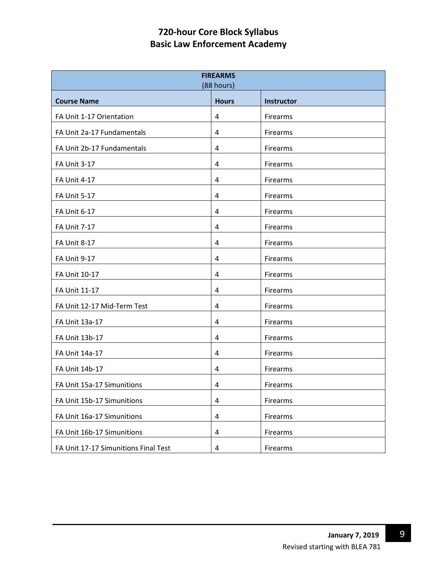| <b>FIREARMS</b><br>(88 hours)        |                         |                   |  |
|--------------------------------------|-------------------------|-------------------|--|
| <b>Course Name</b>                   | <b>Hours</b>            | <b>Instructor</b> |  |
| FA Unit 1-17 Orientation             | $\overline{4}$          | Firearms          |  |
| FA Unit 2a-17 Fundamentals           | 4                       | Firearms          |  |
| FA Unit 2b-17 Fundamentals           | $\overline{a}$          | Firearms          |  |
| <b>FA Unit 3-17</b>                  | 4                       | Firearms          |  |
| <b>FA Unit 4-17</b>                  | 4                       | Firearms          |  |
| <b>FA Unit 5-17</b>                  | $\overline{4}$          | Firearms          |  |
| <b>FA Unit 6-17</b>                  | 4                       | Firearms          |  |
| <b>FA Unit 7-17</b>                  | 4                       | Firearms          |  |
| <b>FA Unit 8-17</b>                  | $\overline{4}$          | Firearms          |  |
| <b>FA Unit 9-17</b>                  | 4                       | Firearms          |  |
| FA Unit 10-17                        | $\overline{a}$          | Firearms          |  |
| FA Unit 11-17                        | 4                       | Firearms          |  |
| FA Unit 12-17 Mid-Term Test          | 4                       | Firearms          |  |
| FA Unit 13a-17                       | 4                       | Firearms          |  |
| FA Unit 13b-17                       | 4                       | Firearms          |  |
| FA Unit 14a-17                       | $\overline{a}$          | Firearms          |  |
| FA Unit 14b-17                       | 4                       | Firearms          |  |
| FA Unit 15a-17 Simunitions           | 4                       | Firearms          |  |
| FA Unit 15b-17 Simunitions           | $\overline{a}$          | Firearms          |  |
| FA Unit 16a-17 Simunitions           | $\pmb{4}$               | Firearms          |  |
| FA Unit 16b-17 Simunitions           | $\overline{\mathbf{4}}$ | Firearms          |  |
| FA Unit 17-17 Simunitions Final Test | 4                       | Firearms          |  |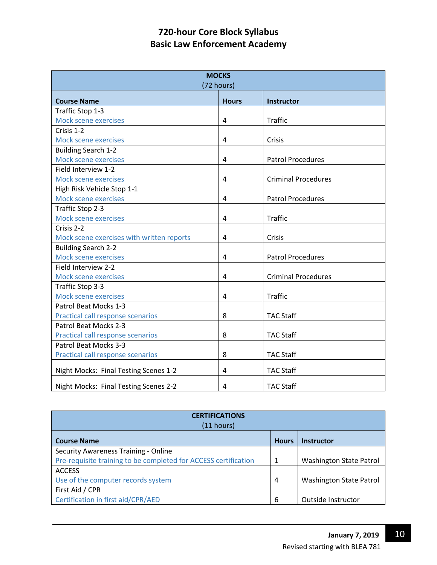| <b>MOCKS</b><br>(72 hours)                |              |                            |  |
|-------------------------------------------|--------------|----------------------------|--|
| <b>Course Name</b>                        | <b>Hours</b> | Instructor                 |  |
| Traffic Stop 1-3                          |              |                            |  |
| Mock scene exercises                      | 4            | <b>Traffic</b>             |  |
| Crisis 1-2                                |              |                            |  |
| Mock scene exercises                      | 4            | Crisis                     |  |
| <b>Building Search 1-2</b>                |              |                            |  |
| Mock scene exercises                      | 4            | <b>Patrol Procedures</b>   |  |
| Field Interview 1-2                       |              |                            |  |
| Mock scene exercises                      | 4            | <b>Criminal Procedures</b> |  |
| High Risk Vehicle Stop 1-1                |              |                            |  |
| Mock scene exercises                      | 4            | <b>Patrol Procedures</b>   |  |
| Traffic Stop 2-3                          |              |                            |  |
| Mock scene exercises                      | 4            | <b>Traffic</b>             |  |
| Crisis 2-2                                |              |                            |  |
| Mock scene exercises with written reports | 4            | Crisis                     |  |
| <b>Building Search 2-2</b>                |              |                            |  |
| Mock scene exercises                      | 4            | <b>Patrol Procedures</b>   |  |
| Field Interview 2-2                       |              |                            |  |
| Mock scene exercises                      | 4            | <b>Criminal Procedures</b> |  |
| Traffic Stop 3-3                          |              |                            |  |
| Mock scene exercises                      | 4            | <b>Traffic</b>             |  |
| Patrol Beat Mocks 1-3                     |              |                            |  |
| Practical call response scenarios         | 8            | <b>TAC Staff</b>           |  |
| Patrol Beat Mocks 2-3                     |              |                            |  |
| Practical call response scenarios         | 8            | <b>TAC Staff</b>           |  |
| Patrol Beat Mocks 3-3                     |              |                            |  |
| Practical call response scenarios         | 8            | <b>TAC Staff</b>           |  |
| Night Mocks: Final Testing Scenes 1-2     | 4            | <b>TAC Staff</b>           |  |
| Night Mocks: Final Testing Scenes 2-2     | 4            | <b>TAC Staff</b>           |  |

| <b>CERTIFICATIONS</b><br>$(11$ hours)                           |              |                                |  |
|-----------------------------------------------------------------|--------------|--------------------------------|--|
| <b>Course Name</b>                                              | <b>Hours</b> | <b>Instructor</b>              |  |
| Security Awareness Training - Online                            |              |                                |  |
| Pre-requisite training to be completed for ACCESS certification | 1            | <b>Washington State Patrol</b> |  |
| <b>ACCESS</b>                                                   |              |                                |  |
| Use of the computer records system                              | 4            | <b>Washington State Patrol</b> |  |
| First Aid / CPR                                                 |              |                                |  |
| Certification in first aid/CPR/AED                              | 6            | Outside Instructor             |  |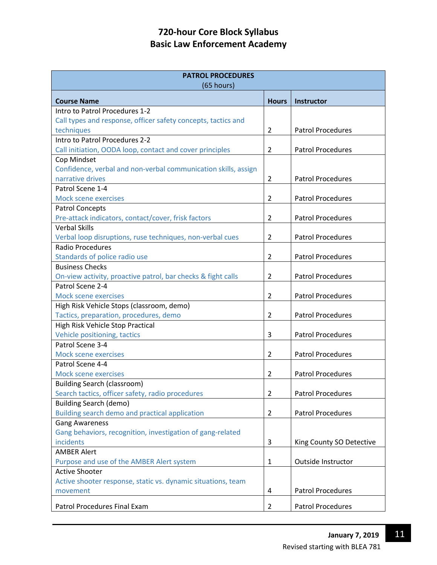| <b>PATROL PROCEDURES</b><br>(65 hours)                         |                |                          |  |
|----------------------------------------------------------------|----------------|--------------------------|--|
| <b>Course Name</b>                                             | <b>Hours</b>   | <b>Instructor</b>        |  |
| Intro to Patrol Procedures 1-2                                 |                |                          |  |
| Call types and response, officer safety concepts, tactics and  |                |                          |  |
| techniques                                                     | $\overline{2}$ | <b>Patrol Procedures</b> |  |
| Intro to Patrol Procedures 2-2                                 |                |                          |  |
| Call initiation, OODA loop, contact and cover principles       | 2              | <b>Patrol Procedures</b> |  |
| Cop Mindset                                                    |                |                          |  |
| Confidence, verbal and non-verbal communication skills, assign |                |                          |  |
| narrative drives                                               | $\overline{2}$ | <b>Patrol Procedures</b> |  |
| Patrol Scene 1-4                                               |                |                          |  |
| <b>Mock scene exercises</b>                                    | $\overline{2}$ | <b>Patrol Procedures</b> |  |
| <b>Patrol Concepts</b>                                         |                |                          |  |
| Pre-attack indicators, contact/cover, frisk factors            | $\overline{2}$ | <b>Patrol Procedures</b> |  |
| <b>Verbal Skills</b>                                           |                |                          |  |
| Verbal loop disruptions, ruse techniques, non-verbal cues      | 2              | <b>Patrol Procedures</b> |  |
| <b>Radio Procedures</b>                                        |                |                          |  |
| Standards of police radio use                                  | $\overline{2}$ | <b>Patrol Procedures</b> |  |
| <b>Business Checks</b>                                         |                |                          |  |
| On-view activity, proactive patrol, bar checks & fight calls   | $\overline{2}$ | <b>Patrol Procedures</b> |  |
| Patrol Scene 2-4                                               |                |                          |  |
| <b>Mock scene exercises</b>                                    | 2              | <b>Patrol Procedures</b> |  |
| High Risk Vehicle Stops (classroom, demo)                      |                |                          |  |
| Tactics, preparation, procedures, demo                         | $\overline{2}$ | <b>Patrol Procedures</b> |  |
| High Risk Vehicle Stop Practical                               |                |                          |  |
| Vehicle positioning, tactics<br>Patrol Scene 3-4               | 3              | <b>Patrol Procedures</b> |  |
| Mock scene exercises                                           | $\overline{2}$ | <b>Patrol Procedures</b> |  |
| Patrol Scene 4-4                                               |                |                          |  |
| <b>Mock scene exercises</b>                                    | $\overline{2}$ | <b>Patrol Procedures</b> |  |
| <b>Building Search (classroom)</b>                             |                |                          |  |
| Search tactics, officer safety, radio procedures               | $\overline{2}$ | <b>Patrol Procedures</b> |  |
| <b>Building Search (demo)</b>                                  |                |                          |  |
| Building search demo and practical application                 | $\overline{2}$ | <b>Patrol Procedures</b> |  |
| <b>Gang Awareness</b>                                          |                |                          |  |
| Gang behaviors, recognition, investigation of gang-related     |                |                          |  |
| incidents                                                      | 3              | King County SO Detective |  |
| <b>AMBER Alert</b>                                             |                |                          |  |
| Purpose and use of the AMBER Alert system                      | $\mathbf{1}$   | Outside Instructor       |  |
| <b>Active Shooter</b>                                          |                |                          |  |
| Active shooter response, static vs. dynamic situations, team   |                |                          |  |
| movement                                                       | 4              | <b>Patrol Procedures</b> |  |
|                                                                |                |                          |  |
| Patrol Procedures Final Exam                                   | $\overline{2}$ | <b>Patrol Procedures</b> |  |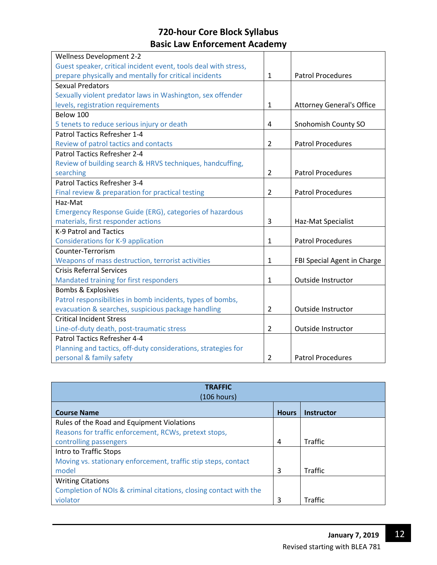| <b>Wellness Development 2-2</b>                                 |                |                                  |
|-----------------------------------------------------------------|----------------|----------------------------------|
| Guest speaker, critical incident event, tools deal with stress, |                |                                  |
| prepare physically and mentally for critical incidents          | $\mathbf{1}$   | <b>Patrol Procedures</b>         |
| <b>Sexual Predators</b>                                         |                |                                  |
| Sexually violent predator laws in Washington, sex offender      |                |                                  |
| levels, registration requirements                               | $\mathbf{1}$   | <b>Attorney General's Office</b> |
| Below 100                                                       |                |                                  |
| 5 tenets to reduce serious injury or death                      | 4              | Snohomish County SO              |
| Patrol Tactics Refresher 1-4                                    |                |                                  |
| Review of patrol tactics and contacts                           | $\overline{2}$ | <b>Patrol Procedures</b>         |
| <b>Patrol Tactics Refresher 2-4</b>                             |                |                                  |
| Review of building search & HRVS techniques, handcuffing,       |                |                                  |
| searching                                                       | 2              | <b>Patrol Procedures</b>         |
| Patrol Tactics Refresher 3-4                                    |                |                                  |
| Final review & preparation for practical testing                | $\overline{2}$ | <b>Patrol Procedures</b>         |
| Haz-Mat                                                         |                |                                  |
| <b>Emergency Response Guide (ERG), categories of hazardous</b>  |                |                                  |
| materials, first responder actions                              | 3              | Haz-Mat Specialist               |
| K-9 Patrol and Tactics                                          |                |                                  |
| <b>Considerations for K-9 application</b>                       | $\mathbf{1}$   | <b>Patrol Procedures</b>         |
| Counter-Terrorism                                               |                |                                  |
| Weapons of mass destruction, terrorist activities               | $\mathbf{1}$   | FBI Special Agent in Charge      |
| <b>Crisis Referral Services</b>                                 |                |                                  |
| Mandated training for first responders                          | $\mathbf{1}$   | Outside Instructor               |
| <b>Bombs &amp; Explosives</b>                                   |                |                                  |
| Patrol responsibilities in bomb incidents, types of bombs,      |                |                                  |
| evacuation & searches, suspicious package handling              | $\overline{2}$ | Outside Instructor               |
| <b>Critical Incident Stress</b>                                 |                |                                  |
| Line-of-duty death, post-traumatic stress                       | 2              | Outside Instructor               |
| Patrol Tactics Refresher 4-4                                    |                |                                  |
| Planning and tactics, off-duty considerations, strategies for   |                |                                  |
| personal & family safety                                        | 2              | <b>Patrol Procedures</b>         |

| <b>TRAFFIC</b><br>(106 hours)                                     |              |                   |  |
|-------------------------------------------------------------------|--------------|-------------------|--|
| <b>Course Name</b>                                                | <b>Hours</b> | <b>Instructor</b> |  |
| Rules of the Road and Equipment Violations                        |              |                   |  |
| Reasons for traffic enforcement, RCWs, pretext stops,             |              |                   |  |
| controlling passengers                                            | 4            | <b>Traffic</b>    |  |
| Intro to Traffic Stops                                            |              |                   |  |
| Moving vs. stationary enforcement, traffic stip steps, contact    |              |                   |  |
| model                                                             | 3            | Traffic           |  |
| <b>Writing Citations</b>                                          |              |                   |  |
| Completion of NOIs & criminal citations, closing contact with the |              |                   |  |
| violator                                                          | 3            | <b>Traffic</b>    |  |